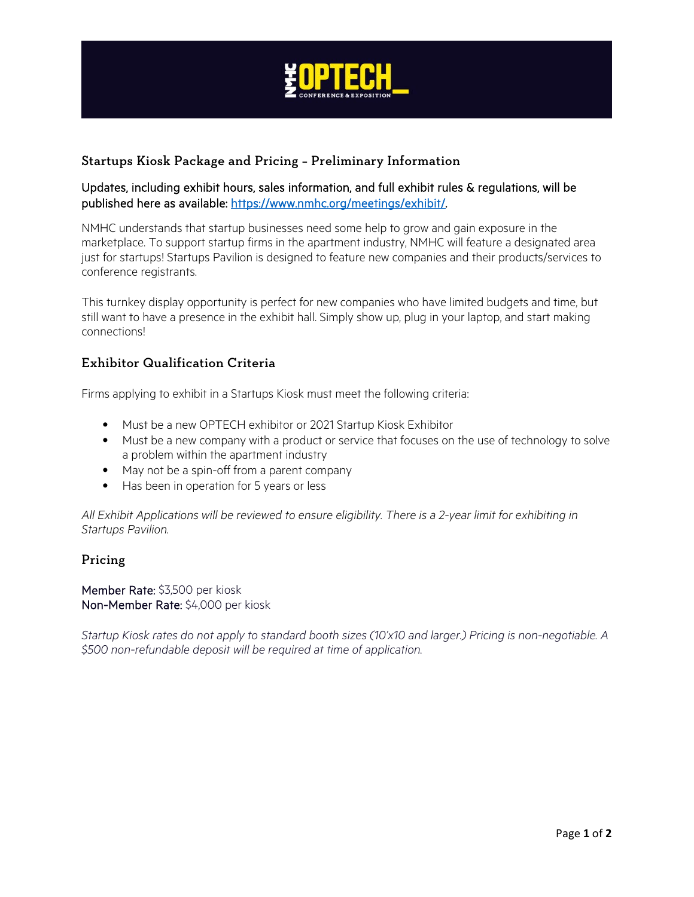

# Startups Kiosk Package and Pricing – Preliminary Information

### Updates, including exhibit hours, sales information, and full exhibit rules & regulations, will be published here as available: [https://www.nmhc.org/meetings/exhibit/.](https://www.nmhc.org/meetings/exhibit/)

NMHC understands that startup businesses need some help to grow and gain exposure in the marketplace. To support startup firms in the apartment industry, NMHC will feature a designated area just for startups! Startups Pavilion is designed to feature new companies and their products/services to conference registrants.

This turnkey display opportunity is perfect for new companies who have limited budgets and time, but still want to have a presence in the exhibit hall. Simply show up, plug in your laptop, and start making connections!

### Exhibitor Qualification Criteria

Firms applying to exhibit in a Startups Kiosk must meet the following criteria:

- Must be a new OPTECH exhibitor or 2021 Startup Kiosk Exhibitor
- Must be a new company with a product or service that focuses on the use of technology to solve a problem within the apartment industry
- May not be a spin-off from a parent company
- Has been in operation for 5 years or less

*All Exhibit Applications will be reviewed to ensure eligibility. There is a 2-year limit for exhibiting in Startups Pavilion.*

#### Pricing

Member Rate: \$3,500 per kiosk Non-Member Rate: \$4,000 per kiosk

*Startup Kiosk rates do not apply to standard booth sizes (10'x10 and larger.) Pricing is non-negotiable. A \$500 non-refundable deposit will be required at time of application.*